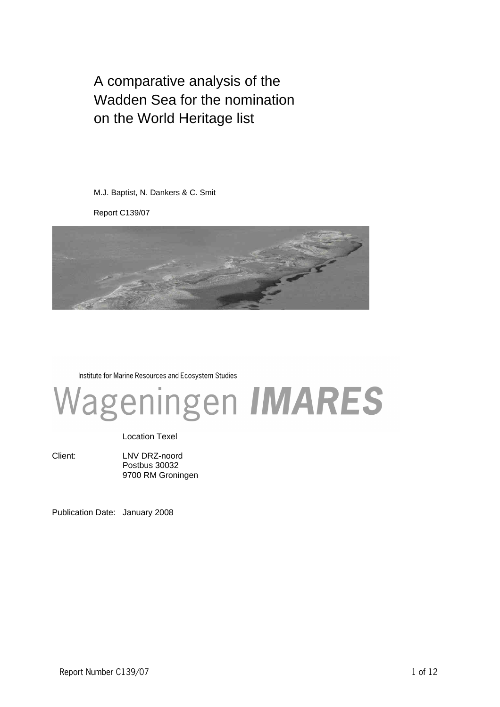A comparative analysis of the Wadden Sea for the nomination on the World Heritage list

M.J. Baptist, N. Dankers & C. Smit

Report C139/07



Institute for Marine Resources and Ecosystem Studies

# Wageningen IMARES

Location Texel

Client: LNV DRZ-noord Postbus 30032 9700 RM Groningen

Publication Date: January 2008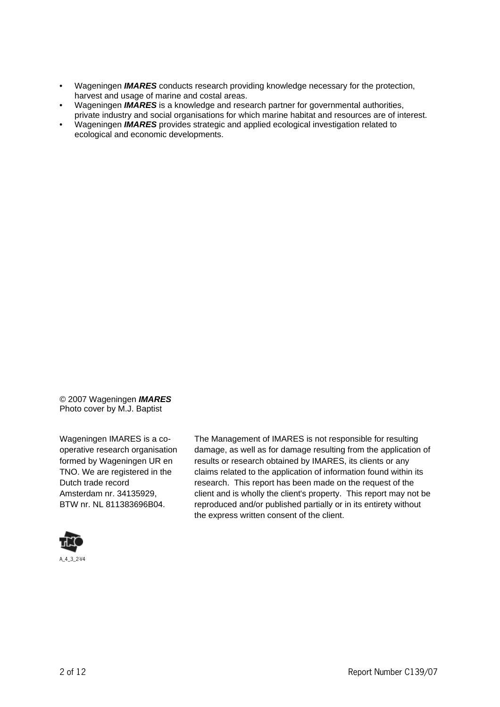- Wageningen **IMARES** conducts research providing knowledge necessary for the protection, harvest and usage of marine and costal areas.
- Wageningen **IMARES** is a knowledge and research partner for governmental authorities, private industry and social organisations for which marine habitat and resources are of interest.
- Wageningen **IMARES** provides strategic and applied ecological investigation related to ecological and economic developments.

© 2007 Wageningen **IMARES** Photo cover by M.J. Baptist

Wageningen IMARES is a cooperative research organisation formed by Wageningen UR en TNO. We are registered in the Dutch trade record Amsterdam nr. 34135929, BTW nr. NL 811383696B04.



A\_4\_3\_2V4

The Management of IMARES is not responsible for resulting damage, as well as for damage resulting from the application of results or research obtained by IMARES, its clients or any claims related to the application of information found within its research. This report has been made on the request of the client and is wholly the client's property. This report may not be reproduced and/or published partially or in its entirety without the express written consent of the client.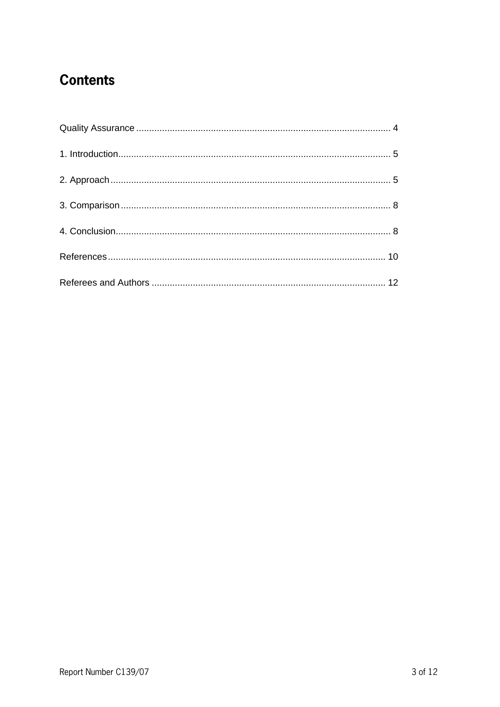## **Contents**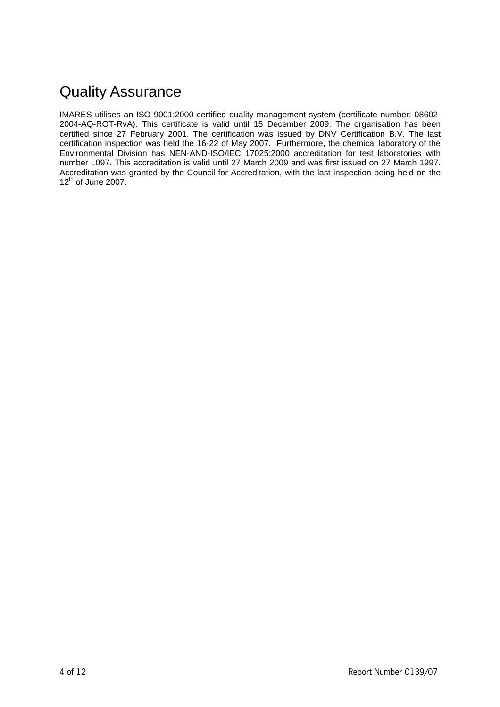# Quality Assurance

IMARES utilises an ISO 9001:2000 certified quality management system (certificate number: 08602- 2004-AQ-ROT-RvA). This certificate is valid until 15 December 2009. The organisation has been certified since 27 February 2001. The certification was issued by DNV Certification B.V. The last certification inspection was held the 16-22 of May 2007. Furthermore, the chemical laboratory of the Environmental Division has NEN-AND-ISO/IEC 17025:2000 accreditation for test laboratories with number L097. This accreditation is valid until 27 March 2009 and was first issued on 27 March 1997. Accreditation was granted by the Council for Accreditation, with the last inspection being held on the  $12^{th}$  of June 2007.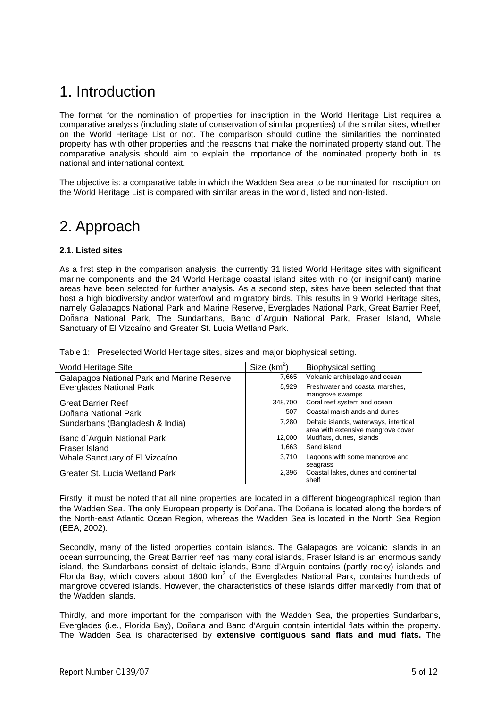## 1. Introduction

The format for the nomination of properties for inscription in the World Heritage List requires a comparative analysis (including state of conservation of similar properties) of the similar sites, whether on the World Heritage List or not. The comparison should outline the similarities the nominated property has with other properties and the reasons that make the nominated property stand out. The comparative analysis should aim to explain the importance of the nominated property both in its national and international context.

The objective is: a comparative table in which the Wadden Sea area to be nominated for inscription on the World Heritage List is compared with similar areas in the world, listed and non-listed.

### 2. Approach

#### **2.1. Listed sites**

As a first step in the comparison analysis, the currently 31 listed World Heritage sites with significant marine components and the 24 World Heritage coastal island sites with no (or insignificant) marine areas have been selected for further analysis. As a second step, sites have been selected that that host a high biodiversity and/or waterfowl and migratory birds. This results in 9 World Heritage sites, namely Galapagos National Park and Marine Reserve, Everglades National Park, Great Barrier Reef, Doñana National Park, The Sundarbans, Banc d´Arguin National Park, Fraser Island, Whale Sanctuary of El Vizcaíno and Greater St. Lucia Wetland Park.

Table 1: Preselected World Heritage sites, sizes and major biophysical setting.

| World Heritage Site                               | Size $(km^2)$ | <b>Biophysical setting</b>                                                   |
|---------------------------------------------------|---------------|------------------------------------------------------------------------------|
| <b>Galapagos National Park and Marine Reserve</b> | 7,665         | Volcanic archipelago and ocean                                               |
| <b>Everglades National Park</b>                   | 5.929         | Freshwater and coastal marshes,<br>mangrove swamps                           |
| <b>Great Barrier Reef</b>                         | 348.700       | Coral reef system and ocean                                                  |
| Doñana National Park                              | 507           | Coastal marshlands and dunes                                                 |
| Sundarbans (Bangladesh & India)                   | 7.280         | Deltaic islands, waterways, intertidal<br>area with extensive mangrove cover |
| Banc d'Arguin National Park                       | 12.000        | Mudflats, dunes, islands                                                     |
| Fraser Island                                     | 1.663         | Sand island                                                                  |
| Whale Sanctuary of El Vizcaíno                    | 3.710         | Lagoons with some mangrove and<br>seagrass                                   |
| Greater St. Lucia Wetland Park                    | 2.396         | Coastal lakes, dunes and continental<br>shelf                                |

Firstly, it must be noted that all nine properties are located in a different biogeographical region than the Wadden Sea. The only European property is Doñana. The Doñana is located along the borders of the North-east Atlantic Ocean Region, whereas the Wadden Sea is located in the North Sea Region (EEA, 2002).

Secondly, many of the listed properties contain islands. The Galapagos are volcanic islands in an ocean surrounding, the Great Barrier reef has many coral islands, Fraser Island is an enormous sandy island, the Sundarbans consist of deltaic islands, Banc d'Arguin contains (partly rocky) islands and Florida Bay, which covers about 1800  $km^2$  of the Everglades National Park, contains hundreds of mangrove covered islands. However, the characteristics of these islands differ markedly from that of the Wadden islands.

Thirdly, and more important for the comparison with the Wadden Sea, the properties Sundarbans, Everglades (i.e., Florida Bay), Doñana and Banc d'Arguin contain intertidal flats within the property. The Wadden Sea is characterised by **extensive contiguous sand flats and mud flats.** The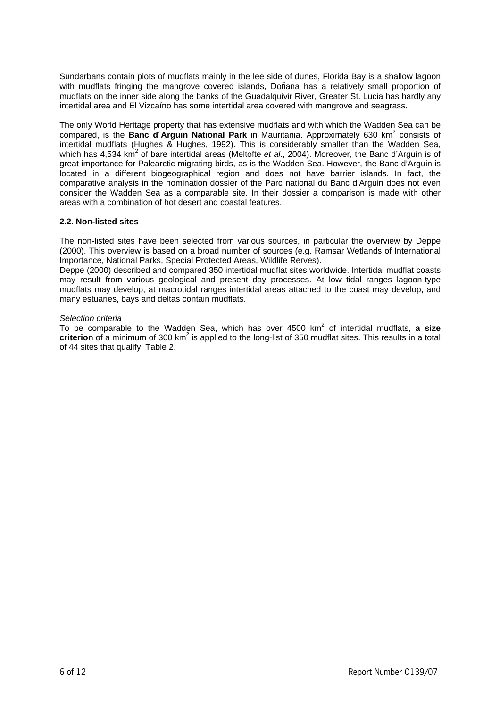Sundarbans contain plots of mudflats mainly in the lee side of dunes, Florida Bay is a shallow lagoon with mudflats fringing the mangrove covered islands, Doñana has a relatively small proportion of mudflats on the inner side along the banks of the Guadalquivir River, Greater St. Lucia has hardly any intertidal area and El Vizcaíno has some intertidal area covered with mangrove and seagrass.

The only World Heritage property that has extensive mudflats and with which the Wadden Sea can be compared, is the Banc d'Arguin National Park in Mauritania. Approximately 630 km<sup>2</sup> consists of intertidal mudflats (Hughes & Hughes, 1992). This is considerably smaller than the Wadden Sea, which has 4,534 km<sup>2</sup> of bare intertidal areas (Meltofte et al., 2004). Moreover, the Banc d'Arguin is of great importance for Palearctic migrating birds, as is the Wadden Sea. However, the Banc d'Arguin is located in a different biogeographical region and does not have barrier islands. In fact, the comparative analysis in the nomination dossier of the Parc national du Banc d'Arguin does not even consider the Wadden Sea as a comparable site. In their dossier a comparison is made with other areas with a combination of hot desert and coastal features.

#### **2.2. Non-listed sites**

The non-listed sites have been selected from various sources, in particular the overview by Deppe (2000). This overview is based on a broad number of sources (e.g. Ramsar Wetlands of International Importance, National Parks, Special Protected Areas, Wildlife Rerves).

Deppe (2000) described and compared 350 intertidal mudflat sites worldwide. Intertidal mudflat coasts may result from various geological and present day processes. At low tidal ranges lagoon-type mudflats may develop, at macrotidal ranges intertidal areas attached to the coast may develop, and many estuaries, bays and deltas contain mudflats.

#### Selection criteria

To be comparable to the Wadden Sea, which has over 4500 km<sup>2</sup> of intertidal mudflats, a size criterion of a minimum of 300 km<sup>2</sup> is applied to the long-list of 350 mudflat sites. This results in a total of 44 sites that qualify, Table 2.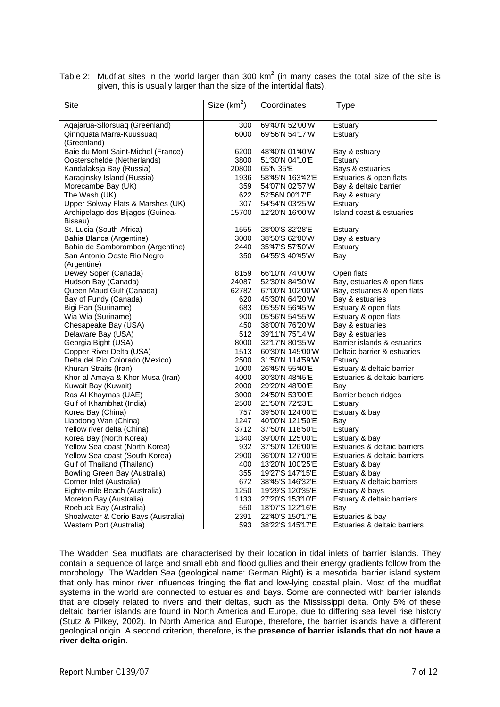Table 2: Mudflat sites in the world larger than 300 km<sup>2</sup> (in many cases the total size of the site is given, this is usually larger than the size of the intertidal flats).

| Site                                              | Size $(km^2)$ | Coordinates      | <b>Type</b>                  |
|---------------------------------------------------|---------------|------------------|------------------------------|
| Aqajarua-Sllorsuaq (Greenland)                    | 300           | 69'40'N 52'00'W  | Estuary                      |
| Qinnquata Marra-Kuussuaq                          | 6000          | 6956'N 5497'W    | Estuary                      |
| (Greenland)<br>Baie du Mont Saint-Michel (France) | 6200          | 48'40'N 01'40'W  | Bay & estuary                |
| Oosterschelde (Netherlands)                       | 3800          | 51'30'N 04"10'E  | Estuary                      |
| Kandalaksja Bay (Russia)                          | 20800         | 65°N 35°E        | Bays & estuaries             |
| Karaginsky Island (Russia)                        | 1936          | 58°45'N 163°42'E | Estuaries & open flats       |
| Morecambe Bay (UK)                                | 359           | 54'07'N 02'57'W  | Bay & deltaic barrier        |
| The Wash (UK)                                     | 622           | 52'56N 00°17'E   | Bay & estuary                |
| Upper Solway Flats & Marshes (UK)                 | 307           | 54'54'N 03'25'W  | Estuary                      |
| Archipelago dos Bijagos (Guinea-                  | 15700         | 1220'N 16'00'W   | Island coast & estuaries     |
| Bissau)                                           |               |                  |                              |
| St. Lucia (South-Africa)                          | 1555          | 28'00'S 32'28'E  | Estuary                      |
| Bahia Blanca (Argentine)                          | 3000          | 38'50'S 62'00'W  | Bay & estuary                |
| Bahia de Samborombon (Argentine)                  | 2440          | 35°47'S 57°50'W  | Estuary                      |
| San Antonio Oeste Rio Negro                       | 350           | 64'55'S 40'45'W  | Bay                          |
| (Argentine)                                       |               |                  |                              |
| Dewey Soper (Canada)                              | 8159          | 66°10'N 74°00'W  | Open flats                   |
| Hudson Bay (Canada)                               | 24087         | 52'30'N 84'30'W  | Bay, estuaries & open flats  |
| Queen Maud Gulf (Canada)                          | 62782         | 67'00'N 102'00'W | Bay, estuaries & open flats  |
| Bay of Fundy (Canada)                             | 620           | 45'30'N 64'20'W  | Bay & estuaries              |
| Bigi Pan (Suriname)                               | 683           | 05'55'N 56°45'W  | Estuary & open flats         |
| Wia Wia (Suriname)                                | 900           | 05'56'N 54'55'W  | Estuary & open flats         |
| Chesapeake Bay (USA)                              | 450           | 38'00'N 76'20'W  | Bay & estuaries              |
| Delaware Bay (USA)                                | 512           | 3991'N 7594'W    | Bay & estuaries              |
| Georgia Bight (USA)                               | 8000          | 32°17'N 80°35'W  | Barrier islands & estuaries  |
| Copper River Delta (USA)                          | 1513          | 60'30'N 145'00'W | Deltaic barrier & estuaries  |
| Delta del Rio Colorado (Mexico)                   | 2500          | 31'50'N 114'59'W | Estuary                      |
| Khuran Straits (Iran)                             | 1000          | 26°45'N 55°40'E  | Estuary & deltaic barrier    |
| Khor-al Amaya & Khor Musa (Iran)                  | 4000          | 30'30'N 48°45'E  | Estuaries & deltaic barriers |
| Kuwait Bay (Kuwait)                               | 2000          | 2920'N 48'00'E   | Bay                          |
| Ras Al Khaymas (UAE)                              | 3000          | 24'50'N 53'00'E  | Barrier beach ridges         |
| Gulf of Khambhat (India)                          | 2500          | 21'50'N 72'23'E  | Estuary                      |
| Korea Bay (China)                                 | 757           | 39'50'N 124'00'E | Estuary & bay                |
| Liaodong Wan (China)                              | 1247          | 40'00'N 121'50'E | Bay                          |
| Yellow river delta (China)                        | 3712          | 37'50'N 118'50'E | Estuary                      |
| Korea Bay (North Korea)                           | 1340          | 39'00'N 125'00'E | Estuary & bay                |
| Yellow Sea coast (North Korea)                    | 932           | 37'50'N 126'00'E | Estuaries & deltaic barriers |
| Yellow Sea coast (South Korea)                    | 2900          | 36'00'N 127'00'E | Estuaries & deltaic barriers |
| Gulf of Thailand (Thailand)                       | 400           | 1320'N 10025'E   | Estuary & bay                |
| Bowling Green Bay (Australia)                     | 355           | 1927'S 147°15'E  | Estuary & bay                |
| Corner Inlet (Australia)                          | 672           | 38°45'S 146°32'E | Estuary & deltaic barriers   |
| Eighty-mile Beach (Australia)                     | 1250          | 1929'S 120'35'E  | Estuary & bays               |
| Moreton Bay (Australia)                           | 1133          | 27'20'S 153"10'E | Estuary & deltaic barriers   |
| Roebuck Bay (Australia)                           | 550           | 1807'S 122°16'E  | Bay                          |
| Shoalwater & Corio Bays (Australia)               | 2391          | 22'40'S 150°17'E | Estuaries & bay              |
| Western Port (Australia)                          | 593           | 3822'S 145°17'E  | Estuaries & deltaic barriers |

The Wadden Sea mudflats are characterised by their location in tidal inlets of barrier islands. They contain a sequence of large and small ebb and flood gullies and their energy gradients follow from the morphology. The Wadden Sea (geological name: German Bight) is a mesotidal barrier island system that only has minor river influences fringing the flat and low-lying coastal plain. Most of the mudflat systems in the world are connected to estuaries and bays. Some are connected with barrier islands that are closely related to rivers and their deltas, such as the Mississippi delta. Only 5% of these deltaic barrier islands are found in North America and Europe, due to differing sea level rise history (Stutz & Pilkey, 2002). In North America and Europe, therefore, the barrier islands have a different geological origin. A second criterion, therefore, is the **presence of barrier islands that do not have a river delta origin**.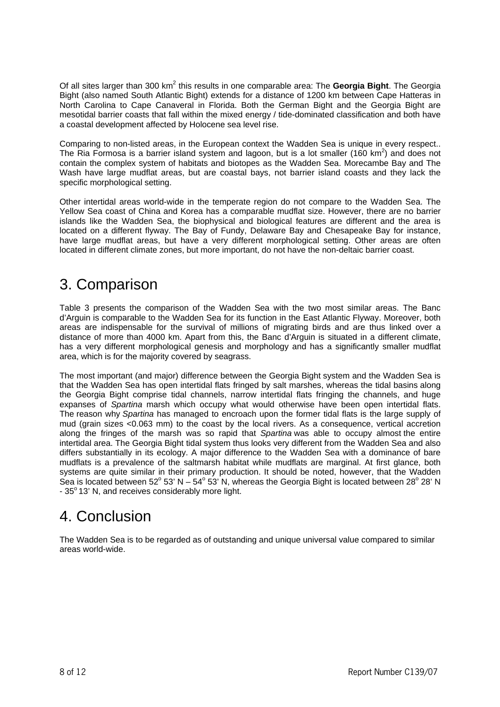Of all sites larger than 300 km<sup>2</sup> this results in one comparable area: The Georgia Bight. The Georgia Bight (also named South Atlantic Bight) extends for a distance of 1200 km between Cape Hatteras in North Carolina to Cape Canaveral in Florida. Both the German Bight and the Georgia Bight are mesotidal barrier coasts that fall within the mixed energy / tide-dominated classification and both have a coastal development affected by Holocene sea level rise.

Comparing to non-listed areas, in the European context the Wadden Sea is unique in every respect.. The Ria Formosa is a barrier island system and lagoon, but is a lot smaller (160 km<sup>2</sup>) and does not contain the complex system of habitats and biotopes as the Wadden Sea. Morecambe Bay and The Wash have large mudflat areas, but are coastal bays, not barrier island coasts and they lack the specific morphological setting.

Other intertidal areas world-wide in the temperate region do not compare to the Wadden Sea. The Yellow Sea coast of China and Korea has a comparable mudflat size. However, there are no barrier islands like the Wadden Sea, the biophysical and biological features are different and the area is located on a different flyway. The Bay of Fundy, Delaware Bay and Chesapeake Bay for instance, have large mudflat areas, but have a very different morphological setting. Other areas are often located in different climate zones, but more important, do not have the non-deltaic barrier coast.

## 3. Comparison

Table 3 presents the comparison of the Wadden Sea with the two most similar areas. The Banc d'Arguin is comparable to the Wadden Sea for its function in the East Atlantic Flyway. Moreover, both areas are indispensable for the survival of millions of migrating birds and are thus linked over a distance of more than 4000 km. Apart from this, the Banc d'Arguin is situated in a different climate, has a very different morphological genesis and morphology and has a significantly smaller mudflat area, which is for the majority covered by seagrass.

The most important (and major) difference between the Georgia Bight system and the Wadden Sea is that the Wadden Sea has open intertidal flats fringed by salt marshes, whereas the tidal basins along the Georgia Bight comprise tidal channels, narrow intertidal flats fringing the channels, and huge expanses of Spartina marsh which occupy what would otherwise have been open intertidal flats. The reason why Spartina has managed to encroach upon the former tidal flats is the large supply of mud (grain sizes <0.063 mm) to the coast by the local rivers. As a consequence, vertical accretion along the fringes of the marsh was so rapid that Spartina was able to occupy almost the entire intertidal area. The Georgia Bight tidal system thus looks very different from the Wadden Sea and also differs substantially in its ecology. A major difference to the Wadden Sea with a dominance of bare mudflats is a prevalence of the saltmarsh habitat while mudflats are marginal. At first glance, both systems are quite similar in their primary production. It should be noted, however, that the Wadden Sea is located between 52 $^{\circ}$  53' N – 54 $^{\circ}$  53' N, whereas the Georgia Bight is located between 28 $^{\circ}$  28' N  $-35^{\circ}$  13' N, and receives considerably more light.

## 4. Conclusion

The Wadden Sea is to be regarded as of outstanding and unique universal value compared to similar areas world-wide.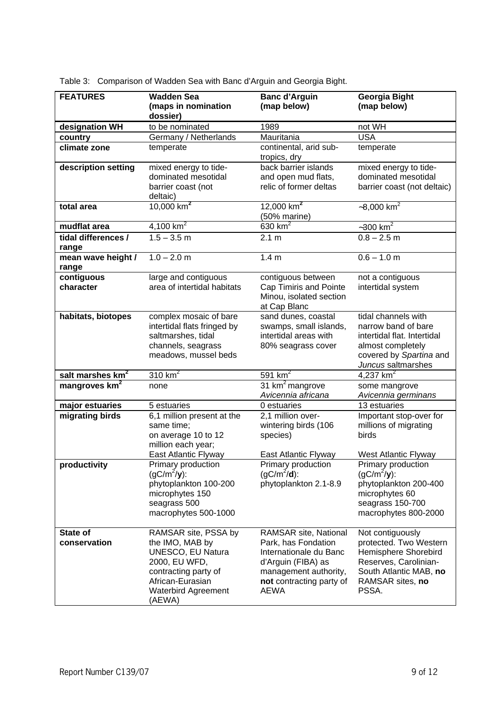| <b>FEATURES</b>              | <b>Wadden Sea</b>                                                                                                                                                        | <b>Banc d'Arguin</b>                                                                                                                                             | Georgia Bight                                                                                                                                      |
|------------------------------|--------------------------------------------------------------------------------------------------------------------------------------------------------------------------|------------------------------------------------------------------------------------------------------------------------------------------------------------------|----------------------------------------------------------------------------------------------------------------------------------------------------|
|                              | (maps in nomination<br>dossier)                                                                                                                                          | (map below)                                                                                                                                                      | (map below)                                                                                                                                        |
| designation WH               | to be nominated                                                                                                                                                          | 1989                                                                                                                                                             | not WH                                                                                                                                             |
| country                      | Germany / Netherlands                                                                                                                                                    | Mauritania                                                                                                                                                       | <b>USA</b>                                                                                                                                         |
| climate zone                 | temperate                                                                                                                                                                | continental, arid sub-<br>tropics, dry                                                                                                                           | temperate                                                                                                                                          |
| description setting          | mixed energy to tide-<br>dominated mesotidal<br>barrier coast (not<br>deltaic)                                                                                           | back barrier islands<br>and open mud flats,<br>relic of former deltas                                                                                            | mixed energy to tide-<br>dominated mesotidal<br>barrier coast (not deltaic)                                                                        |
| total area                   | 10,000 $km^2$                                                                                                                                                            | 12,000 $km2$<br>(50% marine)                                                                                                                                     | $-8,000$ km <sup>2</sup>                                                                                                                           |
| mudflat area                 | 4,100 $km^2$                                                                                                                                                             | 630 $km2$                                                                                                                                                        | $-300$ km <sup>2</sup>                                                                                                                             |
| tidal differences /<br>range | $1.5 - 3.5$ m                                                                                                                                                            | 2.1 m                                                                                                                                                            | $0.8 - 2.5$ m                                                                                                                                      |
| mean wave height /<br>range  | $1.0 - 2.0$ m                                                                                                                                                            | 1.4 <sub>m</sub>                                                                                                                                                 | $0.6 - 1.0$ m                                                                                                                                      |
| contiguous<br>character      | large and contiguous<br>area of intertidal habitats                                                                                                                      | contiguous between<br>Cap Timiris and Pointe<br>Minou, isolated section<br>at Cap Blanc                                                                          | not a contiguous<br>intertidal system                                                                                                              |
| habitats, biotopes           | complex mosaic of bare<br>intertidal flats fringed by<br>saltmarshes, tidal<br>channels, seagrass<br>meadows, mussel beds                                                | sand dunes, coastal<br>swamps, small islands,<br>intertidal areas with<br>80% seagrass cover                                                                     | tidal channels with<br>narrow band of bare<br>intertidal flat. Intertidal<br>almost completely<br>covered by Spartina and<br>Juncus saltmarshes    |
| salt marshes km <sup>2</sup> | 310 $km2$                                                                                                                                                                | 591 $km2$                                                                                                                                                        | 4,237 $km^2$                                                                                                                                       |
| mangroves km <sup>2</sup>    | none                                                                                                                                                                     | 31 km <sup>2</sup> mangrove<br>Avicennia africana                                                                                                                | some mangrove<br>Avicennia germinans                                                                                                               |
| major estuaries              | 5 estuaries                                                                                                                                                              | 0 estuaries                                                                                                                                                      | 13 estuaries                                                                                                                                       |
| migrating birds              | 6,1 million present at the<br>same time:<br>on average 10 to 12<br>million each year;                                                                                    | $2,1$ million over-<br>wintering birds (106<br>species)                                                                                                          | Important stop-over for<br>millions of migrating<br>birds                                                                                          |
|                              | East Atlantic Flyway                                                                                                                                                     | East Atlantic Flyway                                                                                                                                             | West Atlantic Flyway                                                                                                                               |
| productivity                 | Primary production<br>$(gC/m^2/y)$ :<br>phytoplankton 100-200<br>microphytes 150<br>seagrass 500<br>macrophytes 500-1000                                                 | Primary production<br>$(gC/m^2/d)$ :<br>phytoplankton 2.1-8.9                                                                                                    | Primary production<br>$(gC/m^2/y)$ :<br>phytoplankton 200-400<br>microphytes 60<br>seagrass 150-700<br>macrophytes 800-2000                        |
| State of<br>conservation     | RAMSAR site, PSSA by<br>the IMO, MAB by<br><b>UNESCO, EU Natura</b><br>2000, EU WFD,<br>contracting party of<br>African-Eurasian<br><b>Waterbird Agreement</b><br>(AEWA) | RAMSAR site, National<br>Park, has Fondation<br>Internationale du Banc<br>d'Arguin (FIBA) as<br>management authority,<br>not contracting party of<br><b>AEWA</b> | Not contiguously<br>protected. Two Western<br>Hemisphere Shorebird<br>Reserves, Carolinian-<br>South Atlantic MAB, no<br>RAMSAR sites, no<br>PSSA. |

Table 3: Comparison of Wadden Sea with Banc d'Arguin and Georgia Bight.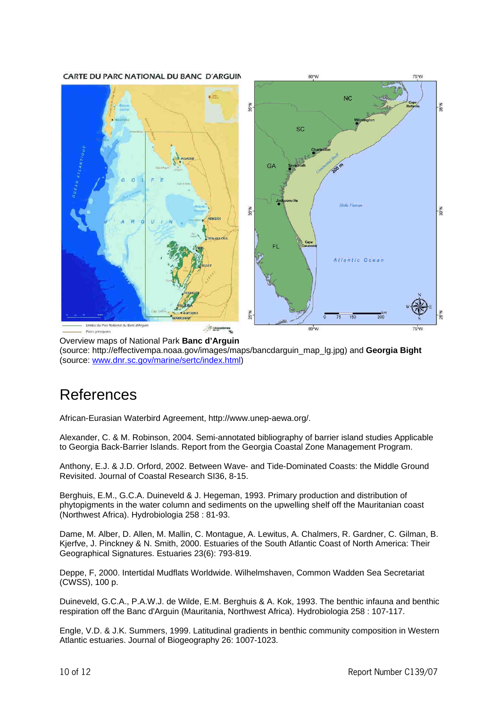CARTE DU PARC NATIONAL DU BANC D'ARGUIN



Overview maps of National Park **Banc d'Arguin**  (source: http://effectivempa.noaa.gov/images/maps/bancdarguin\_map\_lg.jpg) and **Georgia Bight** (source: www.dnr.sc.gov/marine/sertc/index.html)

## References

African-Eurasian Waterbird Agreement, http://www.unep-aewa.org/.

Alexander, C. & M. Robinson, 2004. Semi-annotated bibliography of barrier island studies Applicable to Georgia Back-Barrier Islands. Report from the Georgia Coastal Zone Management Program.

Anthony, E.J. & J.D. Orford, 2002. Between Wave- and Tide-Dominated Coasts: the Middle Ground Revisited. Journal of Coastal Research SI36, 8-15.

Berghuis, E.M., G.C.A. Duineveld & J. Hegeman, 1993. Primary production and distribution of phytopigments in the water column and sediments on the upwelling shelf off the Mauritanian coast (Northwest Africa). Hydrobiologia 258 : 81-93.

Dame, M. Alber, D. Allen, M. Mallin, C. Montague, A. Lewitus, A. Chalmers, R. Gardner, C. Gilman, B. Kjerfve, J. Pinckney & N. Smith, 2000. Estuaries of the South Atlantic Coast of North America: Their Geographical Signatures. Estuaries 23(6): 793-819.

Deppe, F, 2000. Intertidal Mudflats Worldwide. Wilhelmshaven, Common Wadden Sea Secretariat (CWSS), 100 p.

Duineveld, G.C.A., P.A.W.J. de Wilde, E.M. Berghuis & A. Kok, 1993. The benthic infauna and benthic respiration off the Banc d'Arguin (Mauritania, Northwest Africa). Hydrobiologia 258 : 107-117.

Engle, V.D. & J.K. Summers, 1999. Latitudinal gradients in benthic community composition in Western Atlantic estuaries. Journal of Biogeography 26: 1007-1023.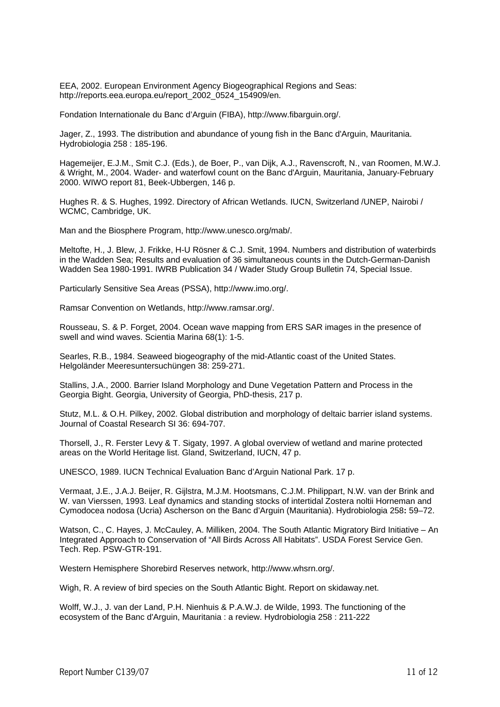EEA, 2002. European Environment Agency Biogeographical Regions and Seas: http://reports.eea.europa.eu/report\_2002\_0524\_154909/en.

Fondation Internationale du Banc d'Arguin (FIBA), http://www.fibarguin.org/.

Jager, Z., 1993. The distribution and abundance of young fish in the Banc d'Arguin, Mauritania. Hydrobiologia 258 : 185-196.

Hagemeijer, E.J.M., Smit C.J. (Eds.), de Boer, P., van Dijk, A.J., Ravenscroft, N., van Roomen, M.W.J. & Wright, M., 2004. Wader- and waterfowl count on the Banc d'Arguin, Mauritania, January-February 2000. WIWO report 81, Beek-Ubbergen, 146 p.

Hughes R. & S. Hughes, 1992. Directory of African Wetlands. IUCN, Switzerland /UNEP, Nairobi / WCMC, Cambridge, UK.

Man and the Biosphere Program, http://www.unesco.org/mab/.

Meltofte, H., J. Blew, J. Frikke, H-U Rösner & C.J. Smit, 1994. Numbers and distribution of waterbirds in the Wadden Sea; Results and evaluation of 36 simultaneous counts in the Dutch-German-Danish Wadden Sea 1980-1991. IWRB Publication 34 / Wader Study Group Bulletin 74, Special Issue.

Particularly Sensitive Sea Areas (PSSA), http://www.imo.org/.

Ramsar Convention on Wetlands, http://www.ramsar.org/.

Rousseau, S. & P. Forget, 2004. Ocean wave mapping from ERS SAR images in the presence of swell and wind waves. Scientia Marina 68(1): 1-5.

Searles, R.B., 1984. Seaweed biogeography of the mid-Atlantic coast of the United States. Helgoländer Meeresuntersuchüngen 38: 259-271.

Stallins, J.A., 2000. Barrier Island Morphology and Dune Vegetation Pattern and Process in the Georgia Bight. Georgia, University of Georgia, PhD-thesis, 217 p.

Stutz, M.L. & O.H. Pilkey, 2002. Global distribution and morphology of deltaic barrier island systems. Journal of Coastal Research SI 36: 694-707.

Thorsell, J., R. Ferster Levy & T. Sigaty, 1997. A global overview of wetland and marine protected areas on the World Heritage list. Gland, Switzerland, IUCN, 47 p.

UNESCO, 1989. IUCN Technical Evaluation Banc d'Arguin National Park. 17 p.

Vermaat, J.E., J.A.J. Beijer, R. Gijlstra, M.J.M. Hootsmans, C.J.M. Philippart, N.W. van der Brink and W. van Vierssen, 1993. Leaf dynamics and standing stocks of intertidal Zostera noltii Horneman and Cymodocea nodosa (Ucria) Ascherson on the Banc d'Arguin (Mauritania). Hydrobiologia 258**:** 59–72.

Watson, C., C. Hayes, J. McCauley, A. Milliken, 2004. The South Atlantic Migratory Bird Initiative – An Integrated Approach to Conservation of "All Birds Across All Habitats". USDA Forest Service Gen. Tech. Rep. PSW-GTR-191.

Western Hemisphere Shorebird Reserves network, http://www.whsrn.org/.

Wigh, R. A review of bird species on the South Atlantic Bight. Report on skidaway.net.

Wolff, W.J., J. van der Land, P.H. Nienhuis & P.A.W.J. de Wilde, 1993. The functioning of the ecosystem of the Banc d'Arguin, Mauritania : a review. Hydrobiologia 258 : 211-222